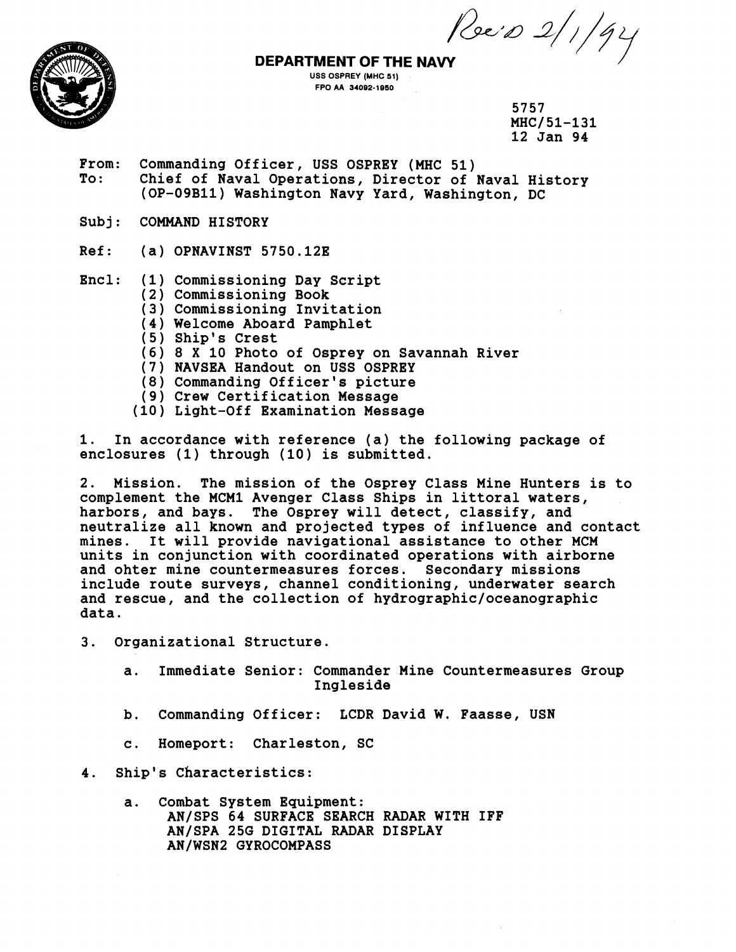*<u>Poe's 2/1/94</u>* 



## **USS OSPREY (MHC 51) FPO AA 34082-1860**

5757 MHC/51-131 **12 Jan 94** 

- **From: Commanding Officer, USS OSPREY (MHC 51)**  Chief of Naval Operations, Director of Naval History **(OP-09Bll) Washington Navy Yard, Washington, DC**
- **Subj: COMMAND HISTORY**
- **Ref: (a) OPNAVINST 5750.12E**

**Encl: (1) Commissioning Day Script** 

- **(2 Commissioning Book**
- **(3 Commissioning Invitation**
- **(4) Welcome Aboard Pamphlet**
- **(5) Ship's Crest**
- **(6) 8 X 10 Photo of Osprey on Savannah River**
- **(7) NAVSEA Handout on U\$S OSPREY**
- **(8 Commanding Officer's picture**
- **Crew Certification Message**
- **Light-Off Examination Message**

**1. In accordance with reference (a) the following package of enclosures (1) through (10) is submitted.** 

**2. Mission. The mission of the Osprey Class Mine Hunters is to complement the MCMl Avenger Class Ships in littoral waters, harbors, and bays. The Osprey will detect, classify, and neutralize all known and projected types of influence and contact mines. It will provide navigational assistance to other MCM units in conjunction with coordinated operations with airborne and ohter mine countermeasures forces. Secondary missions include route surveys, channel conditioning, underwater search and rescue, and the collection of hydrographic/oceanographic data.** 

- **3. Organizational Structure.** 
	- **a. Immediate Senior: Commander Mine Countermeasures Group Ingleside**
	- **b. Commanding Officer: LCDR David W. Faasse, USN**
	- **c. Homeport: Charleston, SC**

**4. Ship's characteristics:** 

**a. Combat System Equipment: AN/SPS 64 SURFACE SEARCH RADAR WITH IFF**  AN/SPA 25G DIGITAL RADAR DISPLAY **ANlWSN2 GYROCOMPASS**